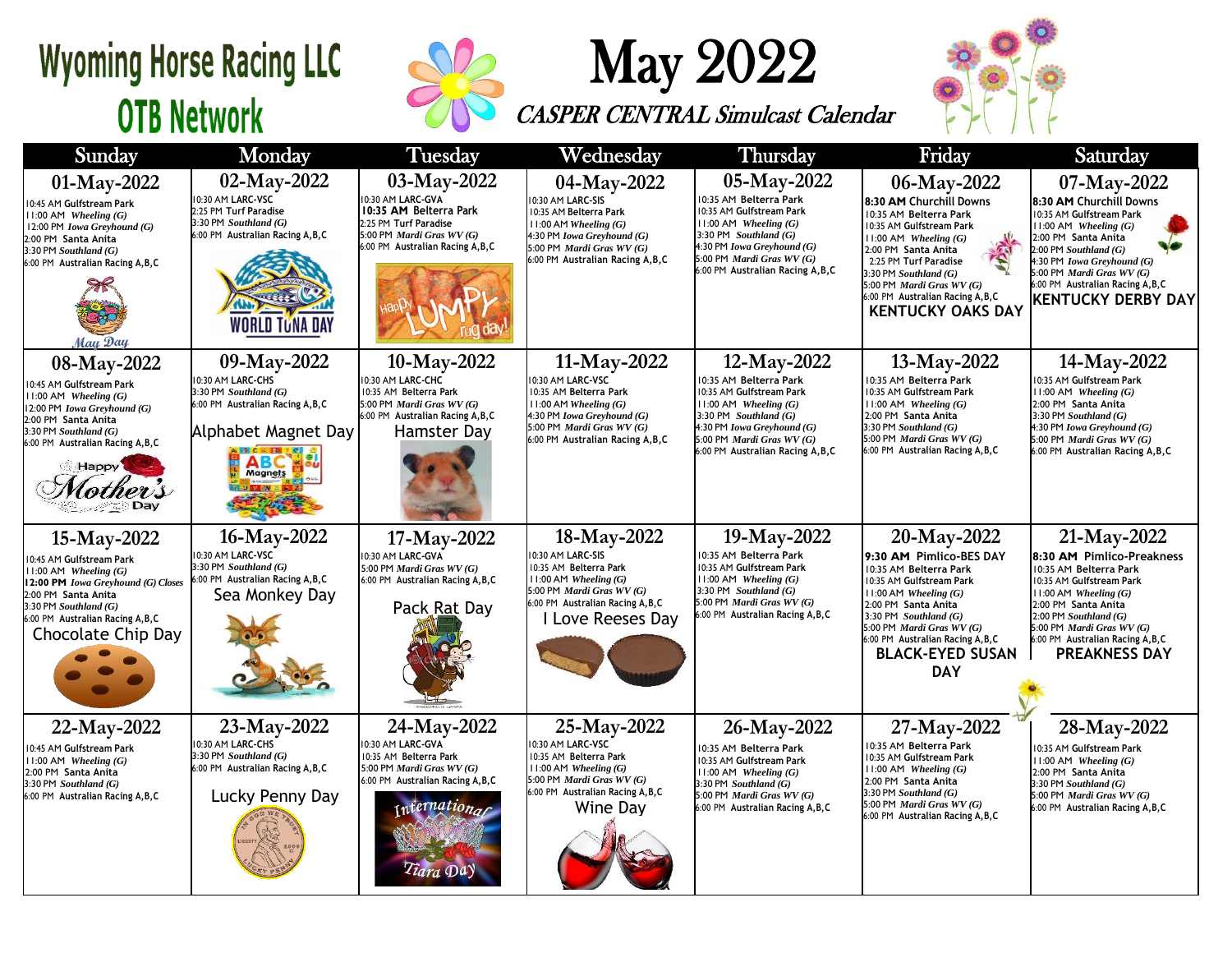## **Wyoming Horse Racing LLC OTB Network**



## May 2022

CASPER CENTRAL Simulcast Calendar



| Sunday                                                                                                                                                                                                                         | Monday                                                                                                                                           | Tuesday                                                                                                                                                                           | Wednesday                                                                                                                                                                              | Thursday                                                                                                                                                                                                                           | Friday                                                                                                                                                                                                                                                                                               | Saturday                                                                                                                                                                                                                                                                        |
|--------------------------------------------------------------------------------------------------------------------------------------------------------------------------------------------------------------------------------|--------------------------------------------------------------------------------------------------------------------------------------------------|-----------------------------------------------------------------------------------------------------------------------------------------------------------------------------------|----------------------------------------------------------------------------------------------------------------------------------------------------------------------------------------|------------------------------------------------------------------------------------------------------------------------------------------------------------------------------------------------------------------------------------|------------------------------------------------------------------------------------------------------------------------------------------------------------------------------------------------------------------------------------------------------------------------------------------------------|---------------------------------------------------------------------------------------------------------------------------------------------------------------------------------------------------------------------------------------------------------------------------------|
| 01-May-2022<br>0:45 AM Gulfstream Park<br>$1:00$ AM Wheeling $(G)$<br>12:00 PM Iowa Greyhound (G)<br>2:00 PM Santa Anita<br>$3:30$ PM Southland $(G)$<br>6:00 PM Australian Racing A, B, C<br>May Day                          | 02-May-2022<br>10:30 AM LARC-VSC<br>2:25 PM Turf Paradise<br>3:30 PM Southland (G)<br>6:00 PM Australian Racing A, B, C<br><b>WORLD TUNA DAY</b> | 03-May-2022<br>10:30 AM LARC-GVA<br>10:35 AM Belterra Park<br>2:25 PM Turf Paradise<br>5:00 PM Mardi Gras WV (G)<br>6:00 PM Australian Racing A, B, C                             | 04-May-2022<br>0:30 AM LARC-SIS<br>10:35 AM Belterra Park<br>$11:00$ AM Wheeling $(G)$<br>4:30 PM Iowa Greyhound (G)<br>5:00 PM Mardi Gras WV (G)<br>6:00 PM Australian Racing A, B, C | 05-May-2022<br>10:35 AM Belterra Park<br>10:35 AM Gulfstream Park<br>$11:00$ AM Wheeling $(G)$<br>3:30 PM Southland $(G)$<br>4:30 PM Iowa Greyhound (G)<br>5:00 PM <i>Mardi Gras WV</i> $(G)$<br>6:00 PM Australian Racing A, B, C | 06-May-2022<br>8:30 AM Churchill Downs<br>10:35 AM Belterra Park<br>10:35 AM Gulfstream Park<br>$11:00$ AM Wheeling $(G)$<br>2:00 PM Santa Anita<br>2:25 PM Turf Paradise<br>$3:30$ PM Southland $(G)$<br>5:00 PM Mardi Gras WV (G)<br>6:00 PM Australian Racing A, B, C<br><b>KENTUCKY OAKS DAY</b> | 07-May-2022<br>8:30 AM Churchill Downs<br>0:35 AM Gulfstream Park<br>$11:00$ AM Wheeling $(G)$<br>2:00 PM Santa Anita<br>$2:00$ PM Southland $(G)$<br>4:30 PM Iowa Greyhound (G)<br>5:00 PM Mardi Gras WV (G)<br>6:00 PM Australian Racing A, B, C<br><b>KENTUCKY DERBY DAY</b> |
| 08-May-2022<br>0:45 AM Gulfstream Park<br>1:00 AM Wheeling $(G)$<br>12:00 PM Iowa Greyhound (G)<br>2:00 PM Santa Anita<br>$3:30$ PM Southland $(G)$<br>6:00 PM Australian Racing A, B, C<br>Happy                              | 09-May-2022<br>10:30 AM LARC-CHS<br>3:30 PM Southland (G)<br>6:00 PM Australian Racing A, B, C<br>Alphabet Magnet Day<br>Magnets                 | 10-May-2022<br>10:30 AM LARC-CHC<br>10:35 AM Belterra Park<br>5:00 PM Mardi Gras WV (G)<br>6:00 PM Australian Racing A, B, C<br>Hamster Day                                       | 11-May-2022<br>0:30 AM LARC-VSC<br>10:35 AM Belterra Park<br>11:00 AM Wheeling $(G)$<br>4:30 PM Iowa Greyhound (G)<br>5:00 PM Mardi Gras WV (G)<br>6:00 PM Australian Racing A, B, C   | 12-May-2022<br>10:35 AM Belterra Park<br>10:35 AM Gulfstream Park<br>$11:00$ AM Wheeling $(G)$<br>3:30 PM Southland $(G)$<br>4:30 PM Iowa Greyhound (G)<br>5:00 PM <i>Mardi Gras WV</i> $(G)$<br>6:00 PM Australian Racing A, B, C | 13-May-2022<br>0:35 AM Belterra Park<br>10:35 AM Gulfstream Park<br>$11:00$ AM Wheeling $(G)$<br>2:00 PM Santa Anita<br>$3:30$ PM Southland $(G)$<br>5:00 PM Mardi Gras WV (G)<br>6:00 PM Australian Racing A, B, C                                                                                  | 14-May-2022<br>0:35 AM Gulfstream Park<br>$11:00$ AM Wheeling $(G)$<br>2:00 PM Santa Anita<br>3:30 PM Southland $(G)$<br>4:30 PM Iowa Greyhound (G)<br>5:00 PM Mardi Gras WV (G)<br>6:00 PM Australian Racing A, B, C                                                           |
| 15-May-2022<br>0:45 AM Gulfstream Park<br>$1:00$ AM Wheeling $(G)$<br>12:00 PM Iowa Greyhound (G) Closes<br>2:00 PM Santa Anita<br>$3:30$ PM Southland $(G)$<br>6:00 PM Australian Racing A, B, C<br><b>Chocolate Chip Day</b> | 16-May-2022<br>10:30 AM LARC-VSC<br>3:30 PM Southland (G)<br>6:00 PM Australian Racing A, B, C<br>Sea Monkey Day                                 | 17-May-2022<br>10:30 AM LARC-GVA<br>5:00 PM Mardi Gras WV (G)<br>6:00 PM Australian Racing A, B, C<br>Pack Rat Day                                                                | 18-May-2022<br>0:30 AM LARC-SIS<br>10:35 AM Belterra Park<br>$11:00$ AM Wheeling (G)<br>5:00 PM Mardi Gras WV (G)<br>6:00 PM Australian Racing A, B, C<br>Love Reeses Day              | 19-May-2022<br>10:35 AM Belterra Park<br>10:35 AM Gulfstream Park<br>$11:00$ AM Wheeling $(G)$<br>3:30 PM Southland $(G)$<br>5:00 PM Mardi Gras WV (G)<br>6:00 PM Australian Racing A, B, C                                        | 20-May-2022<br>9:30 AM Pimlico-BES DAY<br>10:35 AM Belterra Park<br>10:35 AM Gulfstream Park<br>$11:00$ AM Wheeling $(G)$<br>2:00 PM Santa Anita<br>3:30 PM Southland $(G)$<br>5:00 PM Mardi Gras WV (G)<br>6:00 PM Australian Racing A, B, C<br><b>BLACK-EYED SUSAN</b><br><b>DAY</b>               | 21-May-2022<br>8:30 AM Pimlico-Preakness<br>10:35 AM Belterra Park<br>10:35 AM Gulfstream Park<br>$11:00$ AM Wheeling $(G)$<br>2:00 PM Santa Anita<br>$2:00$ PM Southland $(G)$<br>5:00 PM Mardi Gras WV (G)<br>6:00 PM Australian Racing A, B, C<br><b>PREAKNESS DAY</b>       |
| 22-May-2022<br>0:45 AM Gulfstream Park<br>$1:00$ AM Wheeling $(G)$<br>2:00 PM Santa Anita<br>3:30 PM Southland (G)<br>6:00 PM Australian Racing A, B, C                                                                        | 23-May-2022<br>10:30 AM LARC-CHS<br>3:30 PM Southland (G)<br>6:00 PM Australian Racing A, B, C<br>Lucky Penny Day                                | 24-May-2022<br>10:30 AM LARC-GVA<br>10:35 AM Belterra Park<br>5:00 PM <i>Mardi Gras WV</i> $(G)$<br>6:00 PM Australian Racing A, B, C<br>ernation <sub>a</sub><br><i>Tiara</i> Da | 25-May-2022<br>0:30 AM LARC-VSC<br>10:35 AM Belterra Park<br>$11:00$ AM Wheeling (G)<br>5:00 PM Mardi Gras WV (G)<br>6:00 PM Australian Racing A, B, C<br>Wine Day                     | 26-May-2022<br>10:35 AM Belterra Park<br>10:35 AM Gulfstream Park<br>$11:00$ AM Wheeling $(G)$<br>3:30 PM Southland (G)<br>5:00 PM Mardi Gras WV (G)<br>6:00 PM Australian Racing A, B, C                                          | 27-May-2022<br>0:35 AM Belterra Park<br>10:35 AM Gulfstream Park<br>$11:00$ AM Wheeling $(G)$<br>2:00 PM Santa Anita<br>$3:30$ PM Southland $(G)$<br>5:00 PM Mardi Gras WV (G)<br>6:00 PM Australian Racing A, B, C                                                                                  | 28-May-2022<br>0:35 AM Gulfstream Park<br>$1:00$ AM Wheeling $(G)$<br>2:00 PM Santa Anita<br>3:30 PM Southland (G)<br>5:00 PM Mardi Gras WV (G)<br>6:00 PM Australian Racing A, B, C                                                                                            |